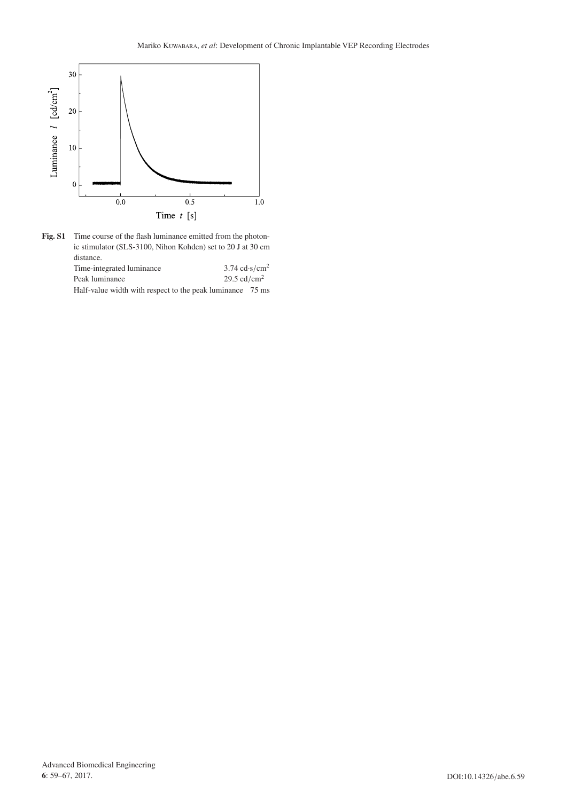

Fig. S1 Time course of the flash luminance emitted from the photonic stimulator (SLS-3100, Nihon Kohden) set to 20 J at 30 cm distance.

| Time-integrated luminance |  |  |  | $3.74 \text{ cd·s/cm}^2$ |                         |  |
|---------------------------|--|--|--|--------------------------|-------------------------|--|
| Peak luminance            |  |  |  |                          | 29.5 cd/cm <sup>2</sup> |  |
| $\cdots$                  |  |  |  |                          | $- -$                   |  |

Half-value width with respect to the peak luminance 75 ms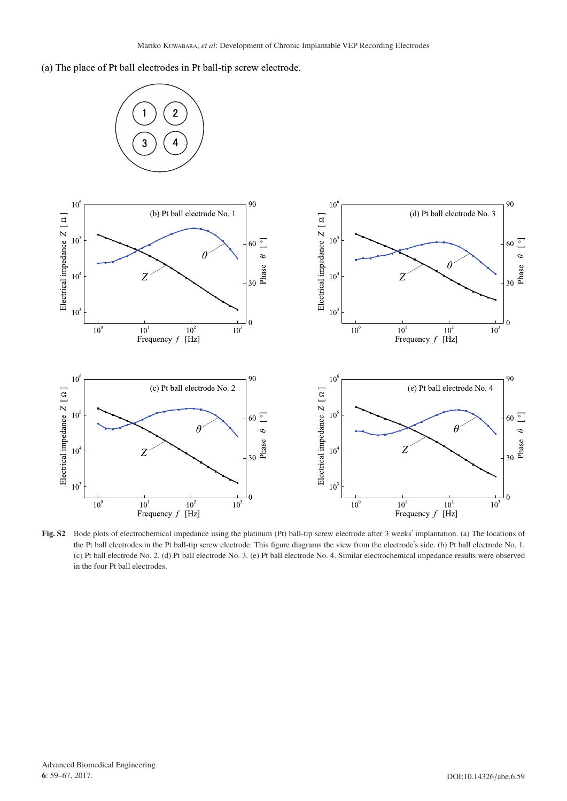(a) The place of Pt ball electrodes in Pt ball-tip screw electrode.



**Fig. S2** Bode plots of electrochemical impedance using the platinum (Pt) ball-tip screw electrode after 3 weeks' implantation. (a) The locations of the Pt ball electrodes in the Pt ball-tip screw electrode. This figure diagrams the view from the electrode's side. (b) Pt ball electrode No. 1. (c) Pt ball electrode No. 2. (d) Pt ball electrode No. 3. (e) Pt ball electrode No. 4. Similar electrochemical impedance results were observed in the four Pt ball electrodes.